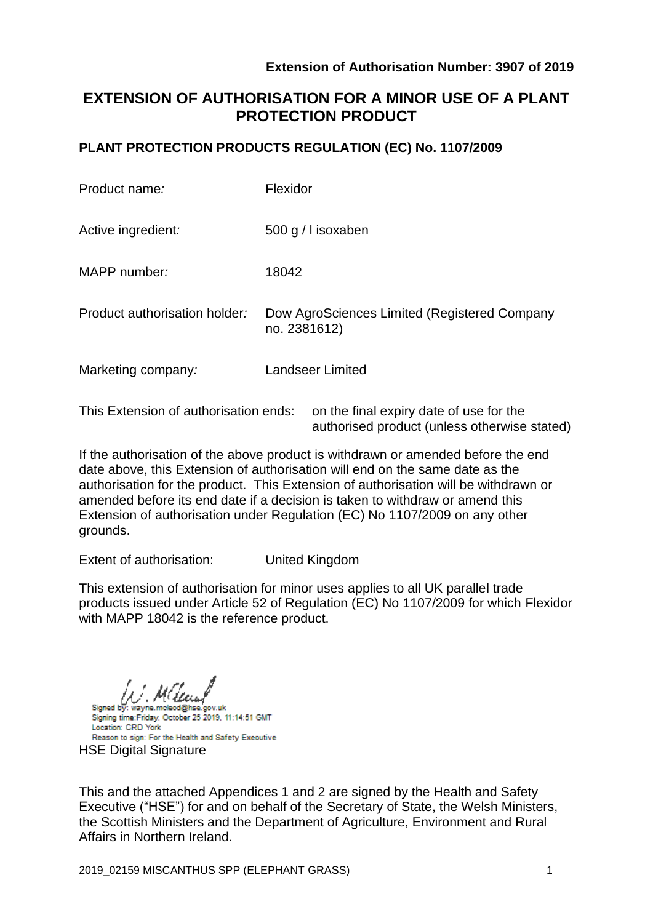# **EXTENSION OF AUTHORISATION FOR A MINOR USE OF A PLANT PROTECTION PRODUCT**

## **PLANT PROTECTION PRODUCTS REGULATION (EC) No. 1107/2009**

| Product name:                 | Flexidor                                                     |
|-------------------------------|--------------------------------------------------------------|
| Active ingredient:            | 500 g / I isoxaben                                           |
| MAPP number:                  | 18042                                                        |
| Product authorisation holder: | Dow AgroSciences Limited (Registered Company<br>no. 2381612) |
| Marketing company:            | <b>Landseer Limited</b>                                      |
|                               |                                                              |

This Extension of authorisation ends: on the final expiry date of use for the authorised product (unless otherwise stated)

If the authorisation of the above product is withdrawn or amended before the end date above, this Extension of authorisation will end on the same date as the authorisation for the product. This Extension of authorisation will be withdrawn or amended before its end date if a decision is taken to withdraw or amend this Extension of authorisation under Regulation (EC) No 1107/2009 on any other grounds.

Extent of authorisation: United Kingdom

This extension of authorisation for minor uses applies to all UK parallel trade products issued under Article 52 of Regulation (EC) No 1107/2009 for which Flexidor with MAPP 18042 is the reference product.

Signed by: wayne.mcleod@hse.gov.uk Signing time: Friday, October 25 2019, 11:14:51 GMT

Location: CRD York Reason to sign: For the Health and Safety Executive **HSE Digital Signature** 

This and the attached Appendices 1 and 2 are signed by the Health and Safety Executive ("HSE") for and on behalf of the Secretary of State, the Welsh Ministers, the Scottish Ministers and the Department of Agriculture, Environment and Rural Affairs in Northern Ireland.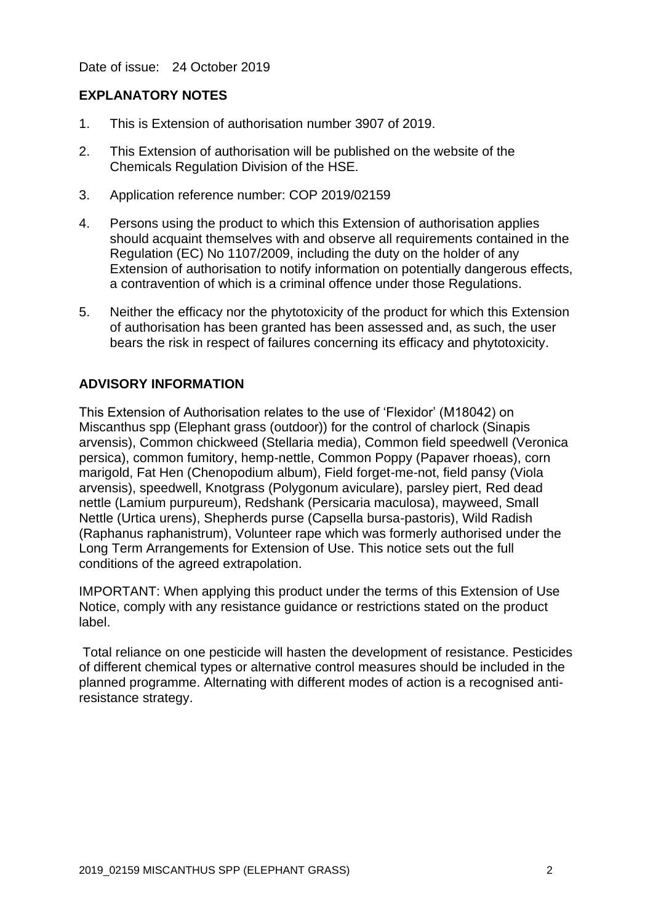Date of issue: 24 October 2019

## **EXPLANATORY NOTES**

- 1. This is Extension of authorisation number 3907 of 2019.
- 2. This Extension of authorisation will be published on the website of the Chemicals Regulation Division of the HSE.
- 3. Application reference number: COP 2019/02159
- 4. Persons using the product to which this Extension of authorisation applies should acquaint themselves with and observe all requirements contained in the Regulation (EC) No 1107/2009, including the duty on the holder of any Extension of authorisation to notify information on potentially dangerous effects, a contravention of which is a criminal offence under those Regulations.
- 5. Neither the efficacy nor the phytotoxicity of the product for which this Extension of authorisation has been granted has been assessed and, as such, the user bears the risk in respect of failures concerning its efficacy and phytotoxicity.

## **ADVISORY INFORMATION**

This Extension of Authorisation relates to the use of 'Flexidor' (M18042) on Miscanthus spp (Elephant grass (outdoor)) for the control of charlock (Sinapis arvensis), Common chickweed (Stellaria media), Common field speedwell (Veronica persica), common fumitory, hemp-nettle, Common Poppy (Papaver rhoeas), corn marigold, Fat Hen (Chenopodium album), Field forget-me-not, field pansy (Viola arvensis), speedwell, Knotgrass (Polygonum aviculare), parsley piert, Red dead nettle (Lamium purpureum), Redshank (Persicaria maculosa), mayweed, Small Nettle (Urtica urens), Shepherds purse (Capsella bursa-pastoris), Wild Radish (Raphanus raphanistrum), Volunteer rape which was formerly authorised under the Long Term Arrangements for Extension of Use. This notice sets out the full conditions of the agreed extrapolation.

IMPORTANT: When applying this product under the terms of this Extension of Use Notice, comply with any resistance guidance or restrictions stated on the product label.

Total reliance on one pesticide will hasten the development of resistance. Pesticides of different chemical types or alternative control measures should be included in the planned programme. Alternating with different modes of action is a recognised antiresistance strategy.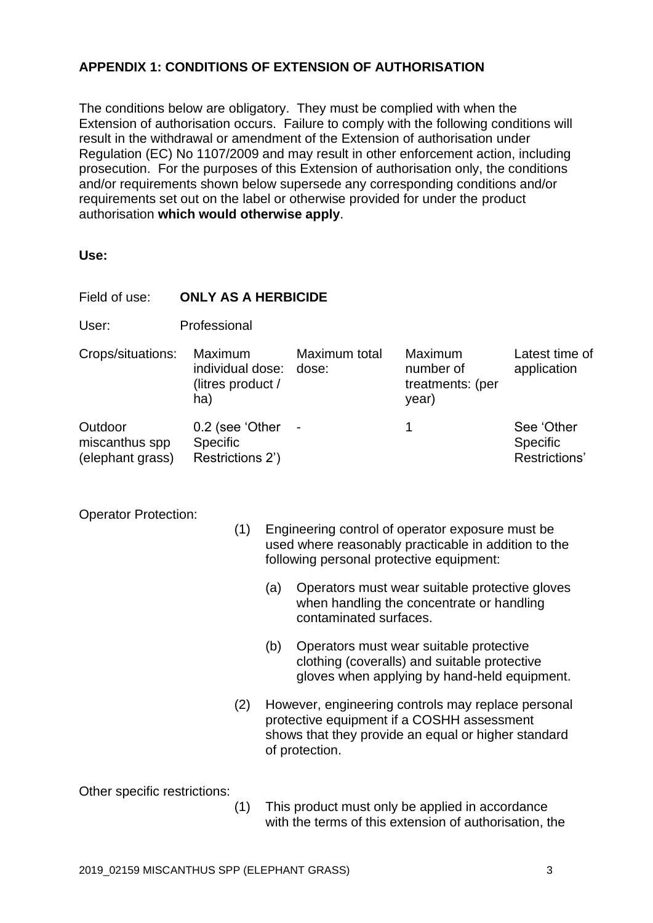## **APPENDIX 1: CONDITIONS OF EXTENSION OF AUTHORISATION**

The conditions below are obligatory. They must be complied with when the Extension of authorisation occurs. Failure to comply with the following conditions will result in the withdrawal or amendment of the Extension of authorisation under Regulation (EC) No 1107/2009 and may result in other enforcement action, including prosecution. For the purposes of this Extension of authorisation only, the conditions and/or requirements shown below supersede any corresponding conditions and/or requirements set out on the label or otherwise provided for under the product authorisation **which would otherwise apply**.

| Field of use:                                 | <b>ONLY AS A HERBICIDE</b>                              |                        |                                                   |                                                |  |
|-----------------------------------------------|---------------------------------------------------------|------------------------|---------------------------------------------------|------------------------------------------------|--|
| User:                                         | Professional                                            |                        |                                                   |                                                |  |
| Crops/situations:                             | Maximum<br>individual dose:<br>(litres product /<br>ha) | Maximum total<br>dose: | Maximum<br>number of<br>treatments: (per<br>year) | Latest time of<br>application                  |  |
| Outdoor<br>miscanthus spp<br>(elephant grass) | 0.2 (see 'Other<br><b>Specific</b><br>Restrictions 2')  | $\blacksquare$         | 1                                                 | See 'Other<br><b>Specific</b><br>Restrictions' |  |

Operator Protection:

- (1) Engineering control of operator exposure must be used where reasonably practicable in addition to the following personal protective equipment:
	- (a) Operators must wear suitable protective gloves when handling the concentrate or handling contaminated surfaces.
	- (b) Operators must wear suitable protective clothing (coveralls) and suitable protective gloves when applying by hand-held equipment.
- (2) However, engineering controls may replace personal protective equipment if a COSHH assessment shows that they provide an equal or higher standard of protection.

Other specific restrictions:

(1) This product must only be applied in accordance with the terms of this extension of authorisation, the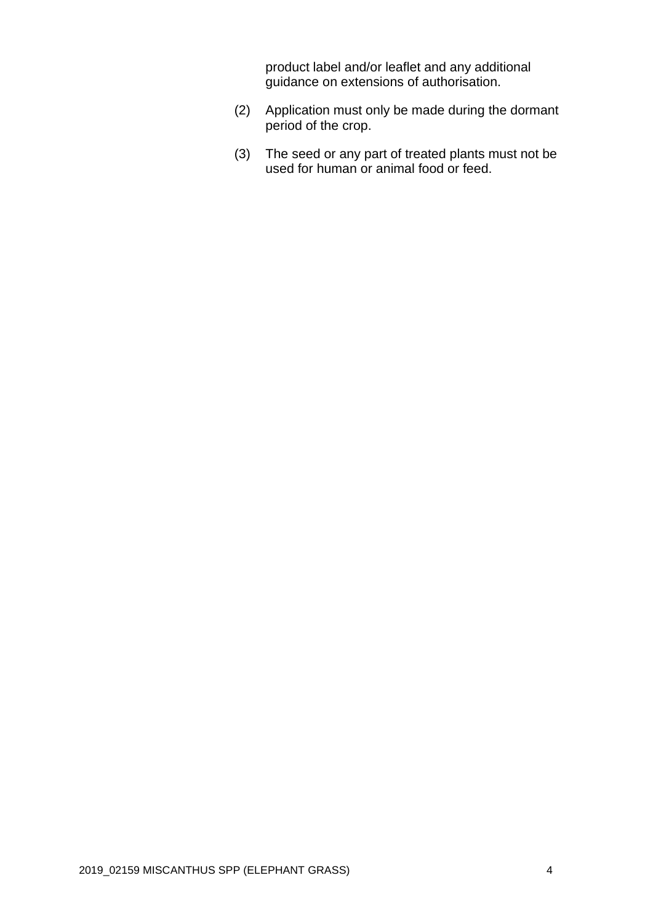product label and/or leaflet and any additional guidance on extensions of authorisation.

- (2) Application must only be made during the dormant period of the crop.
- (3) The seed or any part of treated plants must not be used for human or animal food or feed.